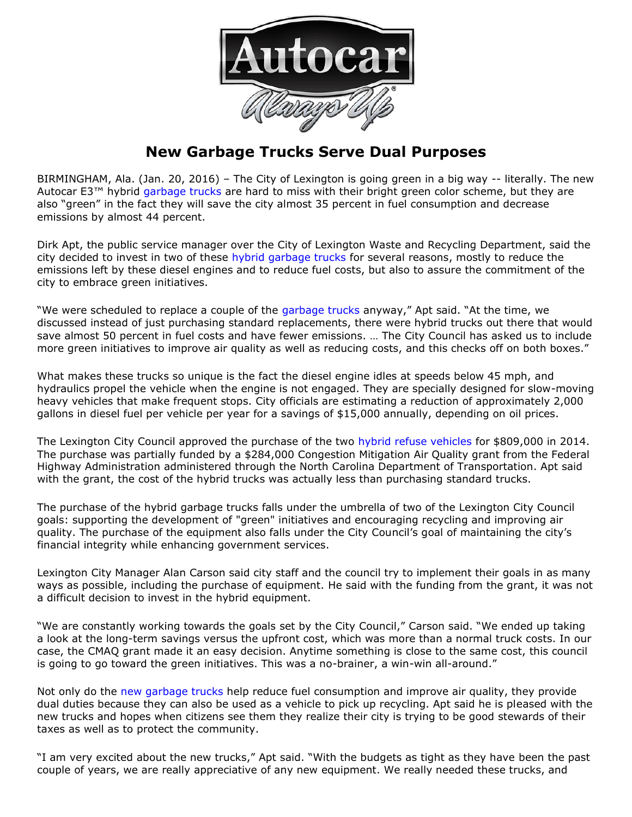

## **New Garbage Trucks Serve Dual Purposes**

BIRMINGHAM, Ala. (Jan. 20, 2016) – The City of Lexington is going green in a big way -- literally. The new Autocar E3<sup>™</sup> hybrid [garbage trucks](http://www.autocartruck.com/refuse-truck) are hard to miss with their bright green color scheme, but they are also "green" in the fact they will save the city almost 35 percent in fuel consumption and decrease emissions by almost 44 percent.

Dirk Apt, the public service manager over the City of Lexington Waste and Recycling Department, said the city decided to invest in two of these [hybrid garbage trucks](http://www.autocartruck.com/refuse-truck) for several reasons, mostly to reduce the emissions left by these diesel engines and to reduce fuel costs, but also to assure the commitment of the city to embrace green initiatives.

"We were scheduled to replace a couple of the [garbage trucks](http://www.autocartruck.com/refuse-truck) anyway," Apt said. "At the time, we discussed instead of just purchasing standard replacements, there were hybrid trucks out there that would save almost 50 percent in fuel costs and have fewer emissions. … The City Council has asked us to include more green initiatives to improve air quality as well as reducing costs, and this checks off on both boxes."

What makes these trucks so unique is the fact the diesel engine idles at speeds below 45 mph, and hydraulics propel the vehicle when the engine is not engaged. They are specially designed for slow-moving heavy vehicles that make frequent stops. City officials are estimating a reduction of approximately 2,000 gallons in diesel fuel per vehicle per year for a savings of \$15,000 annually, depending on oil prices.

The Lexington City Council approved the purchase of the two [hybrid refuse vehicles](http://www.autocartruck.com/refuse-truck) for \$809,000 in 2014. The purchase was partially funded by a \$284,000 Congestion Mitigation Air Quality grant from the Federal Highway Administration administered through the North Carolina Department of Transportation. Apt said with the grant, the cost of the hybrid trucks was actually less than purchasing standard trucks.

The purchase of the hybrid garbage trucks falls under the umbrella of two of the Lexington City Council goals: supporting the development of "green" initiatives and encouraging recycling and improving air quality. The purchase of the equipment also falls under the City Council's goal of maintaining the city's financial integrity while enhancing government services.

Lexington City Manager Alan Carson said city staff and the council try to implement their goals in as many ways as possible, including the purchase of equipment. He said with the funding from the grant, it was not a difficult decision to invest in the hybrid equipment.

"We are constantly working towards the goals set by the City Council," Carson said. "We ended up taking a look at the long-term savings versus the upfront cost, which was more than a normal truck costs. In our case, the CMAQ grant made it an easy decision. Anytime something is close to the same cost, this council is going to go toward the green initiatives. This was a no-brainer, a win-win all-around."

Not only do the [new garbage trucks](http://www.autocartruck.com/refuse-truck) help reduce fuel consumption and improve air quality, they provide dual duties because they can also be used as a vehicle to pick up recycling. Apt said he is pleased with the new trucks and hopes when citizens see them they realize their city is trying to be good stewards of their taxes as well as to protect the community.

"I am very excited about the new trucks," Apt said. "With the budgets as tight as they have been the past couple of years, we are really appreciative of any new equipment. We really needed these trucks, and